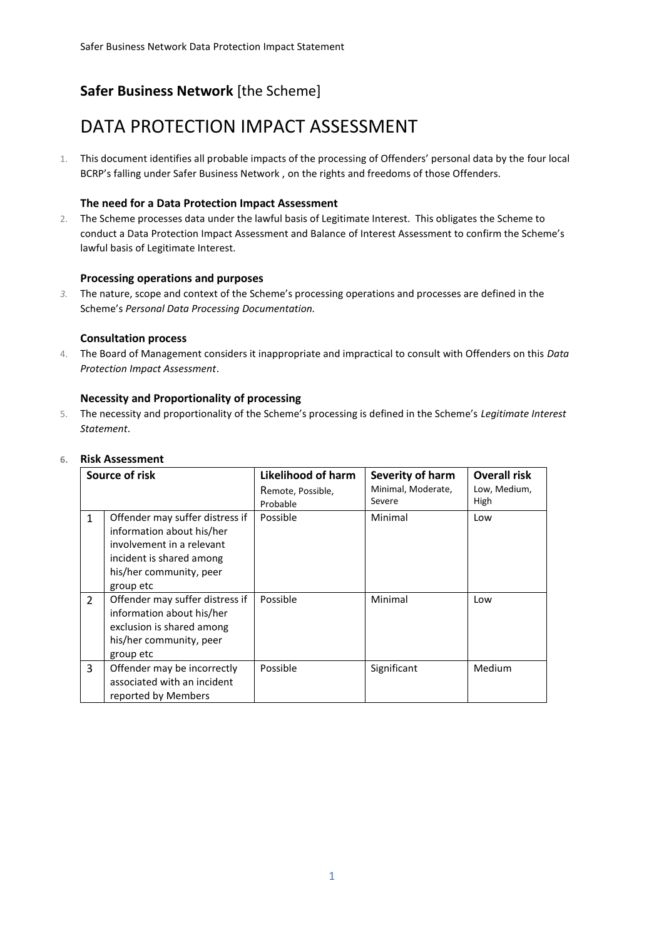## **Safer Business Network** [the Scheme]

# DATA PROTECTION IMPACT ASSESSMENT

1. This document identifies all probable impacts of the processing of Offenders' personal data by the four local BCRP's falling under Safer Business Network , on the rights and freedoms of those Offenders.

### **The need for a Data Protection Impact Assessment**

2. The Scheme processes data under the lawful basis of Legitimate Interest. This obligates the Scheme to conduct a Data Protection Impact Assessment and Balance of Interest Assessment to confirm the Scheme's lawful basis of Legitimate Interest.

#### **Processing operations and purposes**

*3.* The nature, scope and context of the Scheme's processing operations and processes are defined in the Scheme's *Personal Data Processing Documentation.*

#### **Consultation process**

4. The Board of Management considers it inappropriate and impractical to consult with Offenders on this *Data Protection Impact Assessment*.

#### **Necessity and Proportionality of processing**

5. The necessity and proportionality of the Scheme's processing is defined in the Scheme's *Legitimate Interest Statement*.

| Source of risk |                                                                                                                                   | Likelihood of harm   | Severity of harm             | <b>Overall risk</b>  |
|----------------|-----------------------------------------------------------------------------------------------------------------------------------|----------------------|------------------------------|----------------------|
|                |                                                                                                                                   | Remote, Possible,    | Minimal, Moderate,<br>Severe | Low, Medium,<br>High |
| $\mathbf{1}$   | Offender may suffer distress if<br>information about his/her                                                                      | Probable<br>Possible | Minimal                      | Low                  |
|                | involvement in a relevant<br>incident is shared among                                                                             |                      |                              |                      |
|                | his/her community, peer<br>group etc                                                                                              |                      |                              |                      |
| $\overline{2}$ | Offender may suffer distress if<br>information about his/her<br>exclusion is shared among<br>his/her community, peer<br>group etc | Possible             | Minimal                      | Low                  |
| 3              | Offender may be incorrectly<br>associated with an incident<br>reported by Members                                                 | Possible             | Significant                  | Medium               |

#### **6. Risk Assessment**